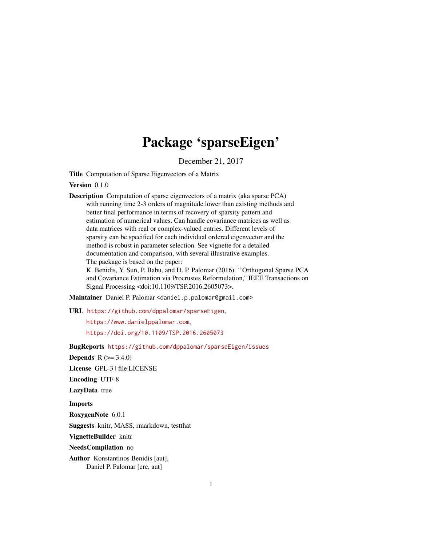# Package 'sparseEigen'

December 21, 2017

Title Computation of Sparse Eigenvectors of a Matrix

Version 0.1.0

Description Computation of sparse eigenvectors of a matrix (aka sparse PCA) with running time 2-3 orders of magnitude lower than existing methods and better final performance in terms of recovery of sparsity pattern and estimation of numerical values. Can handle covariance matrices as well as data matrices with real or complex-valued entries. Different levels of sparsity can be specified for each individual ordered eigenvector and the method is robust in parameter selection. See vignette for a detailed documentation and comparison, with several illustrative examples. The package is based on the paper:

K. Benidis, Y. Sun, P. Babu, and D. P. Palomar (2016). ``Orthogonal Sparse PCA and Covariance Estimation via Procrustes Reformulation,'' IEEE Transactions on Signal Processing <doi:10.1109/TSP.2016.2605073>.

Maintainer Daniel P. Palomar <daniel.p.palomar@gmail.com>

URL <https://github.com/dppalomar/sparseEigen>,

<https://www.danielppalomar.com>, <https://doi.org/10.1109/TSP.2016.2605073>

BugReports <https://github.com/dppalomar/sparseEigen/issues>

**Depends**  $R (= 3.4.0)$ 

License GPL-3 | file LICENSE

Encoding UTF-8

LazyData true

Imports

RoxygenNote 6.0.1

Suggests knitr, MASS, rmarkdown, testthat

VignetteBuilder knitr

NeedsCompilation no

Author Konstantinos Benidis [aut], Daniel P. Palomar [cre, aut]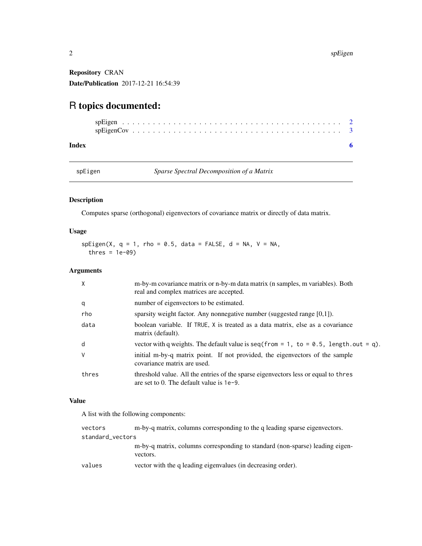Repository CRAN Date/Publication 2017-12-21 16:54:39

# R topics documented:

#### **Index** [6](#page-5-0) **6**

spEigen *Sparse Spectral Decomposition of a Matrix*

# Description

Computes sparse (orthogonal) eigenvectors of covariance matrix or directly of data matrix.

# Usage

 $spEigen(X, q = 1, rho = 0.5, data = FALSE, d = NA, V = NA,$ thres =  $1e-09$ )

# Arguments

| $\times$ | m-by-m covariance matrix or n-by-m data matrix (n samples, m variables). Both<br>real and complex matrices are accepted.          |
|----------|-----------------------------------------------------------------------------------------------------------------------------------|
| q        | number of eigenvectors to be estimated.                                                                                           |
| rho      | sparsity weight factor. Any nonnegative number (suggested range $[0,1]$ ).                                                        |
| data     | boolean variable. If TRUE, X is treated as a data matrix, else as a covariance<br>matrix (default).                               |
| d        | vector with q weights. The default value is seq (from = 1, to = $0.5$ , length.out = q).                                          |
| $\vee$   | initial m-by-q matrix point. If not provided, the eigenvectors of the sample<br>covariance matrix are used.                       |
| thres    | threshold value. All the entries of the sparse eigenvectors less or equal to thres<br>are set to 0. The default value is $1e-9$ . |

# Value

A list with the following components:

| vectors          | m-by-q matrix, columns corresponding to the q leading sparse eigenvectors.               |
|------------------|------------------------------------------------------------------------------------------|
| standard_vectors |                                                                                          |
|                  | m-by-q matrix, columns corresponding to standard (non-sparse) leading eigen-<br>vectors. |
| values           | vector with the q leading eigenvalues (in decreasing order).                             |

<span id="page-1-0"></span>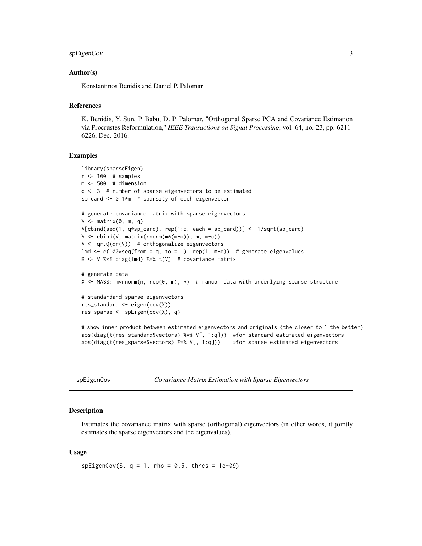```
spEigenCov 3
```
#### Author(s)

Konstantinos Benidis and Daniel P. Palomar

# References

K. Benidis, Y. Sun, P. Babu, D. P. Palomar, "Orthogonal Sparse PCA and Covariance Estimation via Procrustes Reformulation," *IEEE Transactions on Signal Processing*, vol. 64, no. 23, pp. 6211- 6226, Dec. 2016.

#### Examples

```
library(sparseEigen)
n <- 100 # samples
m <- 500 # dimension
q <- 3 # number of sparse eigenvectors to be estimated
sp_card <- 0.1*m # sparsity of each eigenvector
# generate covariance matrix with sparse eigenvectors
V \leq - matrix(0, m, q)
V[cbind(seq(1, q*sp_card), rep(1:q, each = sp_card))] <- 1/sqrt(sp_card)
V \le - \text{cbind}(V, \text{matrix}(rnorm(m*(m-q)), m, m-q))V \leq -qr.Q(qr(V)) # orthogonalize eigenvectors
lmd \leq c(100*seq(from = q, to = 1), rep(1, m-q)) # generate eigenvalues
R <- V %*% diag(lmd) %*% t(V) # covariance matrix
# generate data
X <- MASS::mvrnorm(n, rep(0, m), R) # random data with underlying sparse structure
# standardand sparse eigenvectors
res_standard <- eigen(cov(X))
res_sparse <- spEigen(cov(X), q)
# show inner product between estimated eigenvectors and originals (the closer to 1 the better)
abs(diag(t(res_standard$vectors) %*% V[, 1:q])) #for standard estimated eigenvectors
abs(diag(t(res_sparse$vectors) %*% V[, 1:q])) #for sparse estimated eigenvectors
```
spEigenCov *Covariance Matrix Estimation with Sparse Eigenvectors*

#### Description

Estimates the covariance matrix with sparse (orthogonal) eigenvectors (in other words, it jointly estimates the sparse eigenvectors and the eigenvalues).

#### Usage

 $spEigenCov(S, q = 1, rho = 0.5, thres = 1e-09)$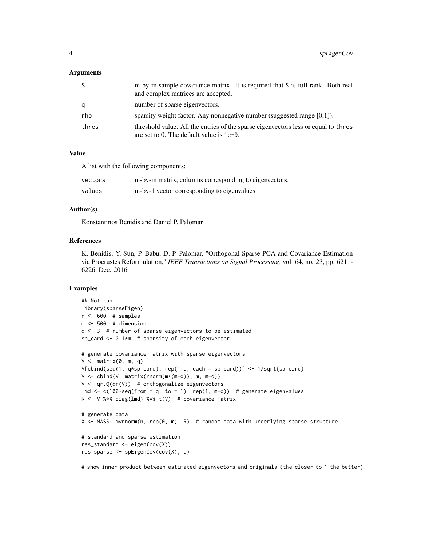#### Arguments

| S     | m-by-m sample covariance matrix. It is required that S is full-rank. Both real<br>and complex matrices are accepted.              |
|-------|-----------------------------------------------------------------------------------------------------------------------------------|
| a     | number of sparse eigenvectors.                                                                                                    |
| rho   | sparsity weight factor. Any nonnegative number (suggested range $[0,1]$ ).                                                        |
| thres | threshold value. All the entries of the sparse eigenvectors less or equal to thres<br>are set to 0. The default value is $1e-9$ . |

## Value

A list with the following components:

| vectors | m-by-m matrix, columns corresponding to eigenvectors. |
|---------|-------------------------------------------------------|
| values  | m-by-1 vector corresponding to eigenvalues.           |

#### Author(s)

Konstantinos Benidis and Daniel P. Palomar

## References

K. Benidis, Y. Sun, P. Babu, D. P. Palomar, "Orthogonal Sparse PCA and Covariance Estimation via Procrustes Reformulation," *IEEE Transactions on Signal Processing*, vol. 64, no. 23, pp. 6211- 6226, Dec. 2016.

# Examples

```
## Not run:
library(sparseEigen)
n < -600 # samples
m <- 500 # dimension
q <- 3 # number of sparse eigenvectors to be estimated
sp_card <- 0.1*m # sparsity of each eigenvector
# generate covariance matrix with sparse eigenvectors
V \leq - matrix(0, m, q)
V[cbind(seq(1, q*sp_card), rep(1:q, each = sp_card))] <- 1/sqrt(sp_card)
V \le - \text{cbind}(V, \text{matrix}(rnorm(m*(m-q)), m, m-q))V \leq -qr.Q(qr(V)) # orthogonalize eigenvectors
lmd \leq c(100*seq(from = q, to = 1), rep(1, m-q)) # generate eigenvalues
R <- V %*% diag(lmd) %*% t(V) # covariance matrix
# generate data
X <- MASS::mvrnorm(n, rep(0, m), R) # random data with underlying sparse structure
# standard and sparse estimation
res_standard <- eigen(cov(X))
res_sparse <- spEigenCov(cov(X), q)
```
# show inner product between estimated eigenvectors and originals (the closer to 1 the better)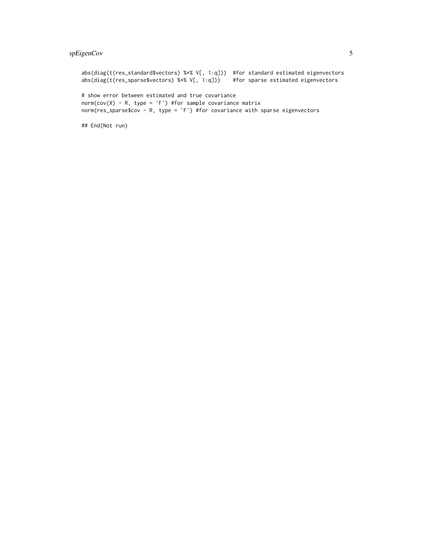# spEigenCov 5

```
abs(diag(t(res_standard$vectors) %*% V[, 1:q])) #for standard estimated eigenvectors
abs(diag(t(res_sparse$vectors) %*% V[, 1:q])) #for sparse estimated eigenvectors
# show error between estimated and true covariance
norm(cov(X) - R, type = 'F') #for sample covariance matrix
norm(res_sparse$cov - R, type = 'F') #for covariance with sparse eigenvectors
```
## End(Not run)